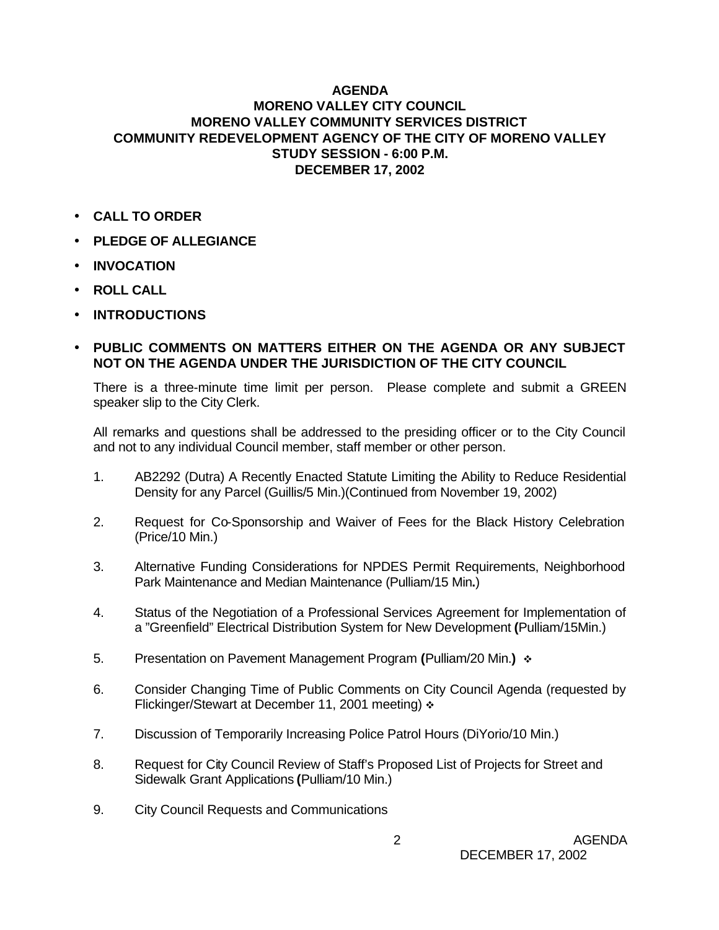## **AGENDA MORENO VALLEY CITY COUNCIL MORENO VALLEY COMMUNITY SERVICES DISTRICT COMMUNITY REDEVELOPMENT AGENCY OF THE CITY OF MORENO VALLEY STUDY SESSION - 6:00 P.M. DECEMBER 17, 2002**

- **CALL TO ORDER**
- **PLEDGE OF ALLEGIANCE**
- **INVOCATION**
- **ROLL CALL**
- **INTRODUCTIONS**
- **PUBLIC COMMENTS ON MATTERS EITHER ON THE AGENDA OR ANY SUBJECT NOT ON THE AGENDA UNDER THE JURISDICTION OF THE CITY COUNCIL**

There is a three-minute time limit per person. Please complete and submit a GREEN speaker slip to the City Clerk.

All remarks and questions shall be addressed to the presiding officer or to the City Council and not to any individual Council member, staff member or other person.

- 1. AB2292 (Dutra) A Recently Enacted Statute Limiting the Ability to Reduce Residential Density for any Parcel (Guillis/5 Min.)(Continued from November 19, 2002)
- 2. Request for Co-Sponsorship and Waiver of Fees for the Black History Celebration (Price/10 Min.)
- 3. Alternative Funding Considerations for NPDES Permit Requirements, Neighborhood Park Maintenance and Median Maintenance (Pulliam/15 Min**.**)
- 4. Status of the Negotiation of a Professional Services Agreement for Implementation of a "Greenfield" Electrical Distribution System for New Development **(**Pulliam/15Min.)
- 5. Presentation on Pavement Management Program **(**Pulliam/20 Min.**)** v
- 6. Consider Changing Time of Public Comments on City Council Agenda (requested by Flickinger/Stewart at December 11, 2001 meeting)  $\div$
- 7. Discussion of Temporarily Increasing Police Patrol Hours (DiYorio/10 Min.)
- 8. Request for City Council Review of Staff's Proposed List of Projects for Street and Sidewalk Grant Applications **(**Pulliam/10 Min.)
- 9. City Council Requests and Communications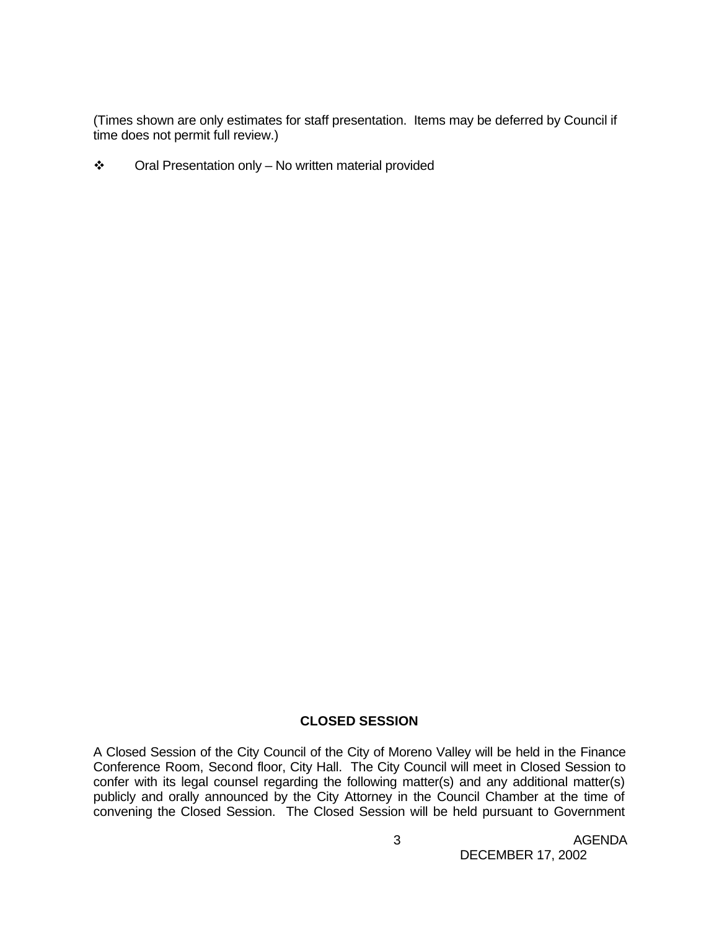(Times shown are only estimates for staff presentation. Items may be deferred by Council if time does not permit full review.)

 $\cdot \cdot$  Oral Presentation only – No written material provided

## **CLOSED SESSION**

A Closed Session of the City Council of the City of Moreno Valley will be held in the Finance Conference Room, Second floor, City Hall. The City Council will meet in Closed Session to confer with its legal counsel regarding the following matter(s) and any additional matter(s) publicly and orally announced by the City Attorney in the Council Chamber at the time of convening the Closed Session. The Closed Session will be held pursuant to Government